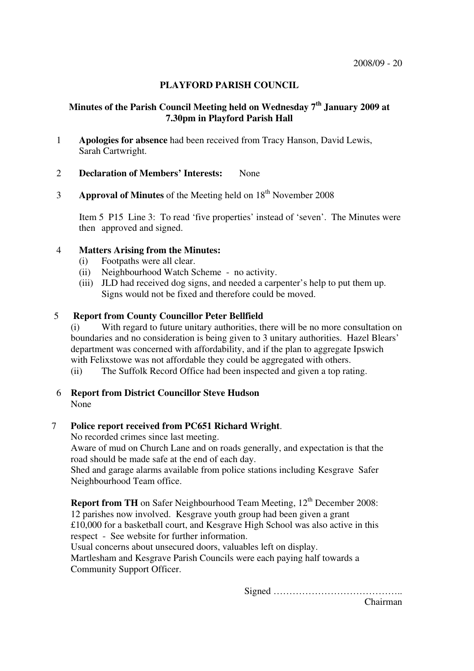# **PLAYFORD PARISH COUNCIL**

# **Minutes of the Parish Council Meeting held on Wednesday 7th January 2009 at 7.30pm in Playford Parish Hall**

- 1 **Apologies for absence** had been received from Tracy Hanson, David Lewis, Sarah Cartwright.
- 2 **Declaration of Members' Interests:** None
- 3 **Approval of Minutes** of the Meeting held on 18<sup>th</sup> November 2008

Item 5 P15 Line 3: To read 'five properties' instead of 'seven'. The Minutes were then approved and signed.

### 4 **Matters Arising from the Minutes:**

- (i) Footpaths were all clear.
- (ii) Neighbourhood Watch Scheme no activity.
- (iii) JLD had received dog signs, and needed a carpenter's help to put them up. Signs would not be fixed and therefore could be moved.

# 5 **Report from County Councillor Peter Bellfield**

(i) With regard to future unitary authorities, there will be no more consultation on boundaries and no consideration is being given to 3 unitary authorities. Hazel Blears' department was concerned with affordability, and if the plan to aggregate Ipswich with Felixstowe was not affordable they could be aggregated with others.

- (ii) The Suffolk Record Office had been inspected and given a top rating.
- 6 **Report from District Councillor Steve Hudson** None

# 7 **Police report received from PC651 Richard Wright**.

No recorded crimes since last meeting.

 Aware of mud on Church Lane and on roads generally, and expectation is that the road should be made safe at the end of each day.

Shed and garage alarms available from police stations including Kesgrave Safer Neighbourhood Team office.

**Report from TH** on Safer Neighbourhood Team Meeting, 12<sup>th</sup> December 2008: 12 parishes now involved. Kesgrave youth group had been given a grant £10,000 for a basketball court, and Kesgrave High School was also active in this respect - See website for further information.

Usual concerns about unsecured doors, valuables left on display. Martlesham and Kesgrave Parish Councils were each paying half towards a Community Support Officer.

Signed …………………………………..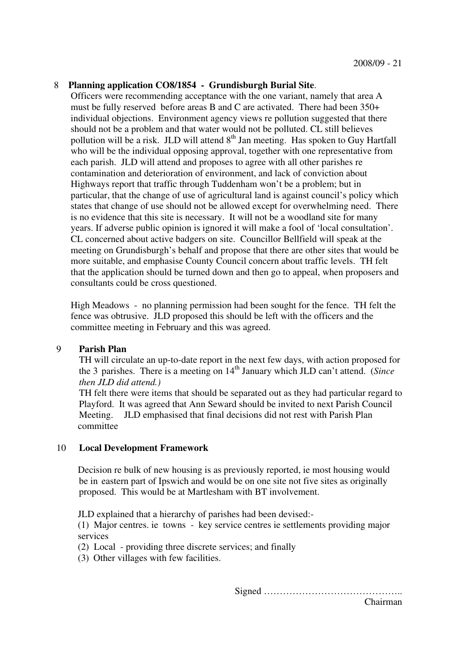### 8 **Planning application CO8/1854 - Grundisburgh Burial Site**.

Officers were recommending acceptance with the one variant, namely that area A must be fully reserved before areas B and C are activated. There had been 350+ individual objections. Environment agency views re pollution suggested that there should not be a problem and that water would not be polluted. CL still believes pollution will be a risk. JLD will attend  $8<sup>th</sup>$  Jan meeting. Has spoken to Guy Hartfall who will be the individual opposing approval, together with one representative from each parish. JLD will attend and proposes to agree with all other parishes re contamination and deterioration of environment, and lack of conviction about Highways report that traffic through Tuddenham won't be a problem; but in particular, that the change of use of agricultural land is against council's policy which states that change of use should not be allowed except for overwhelming need. There is no evidence that this site is necessary. It will not be a woodland site for many years. If adverse public opinion is ignored it will make a fool of 'local consultation'. CL concerned about active badgers on site. Councillor Bellfield will speak at the meeting on Grundisburgh's behalf and propose that there are other sites that would be more suitable, and emphasise County Council concern about traffic levels. TH felt that the application should be turned down and then go to appeal, when proposers and consultants could be cross questioned.

High Meadows - no planning permission had been sought for the fence. TH felt the fence was obtrusive. JLD proposed this should be left with the officers and the committee meeting in February and this was agreed.

### 9 **Parish Plan**

 TH will circulate an up-to-date report in the next few days, with action proposed for the 3 parishes. There is a meeting on 14<sup>th</sup> January which JLD can't attend. (*Since then JLD did attend.)*

 TH felt there were items that should be separated out as they had particular regard to Playford. It was agreed that Ann Seward should be invited to next Parish Council Meeting. JLD emphasised that final decisions did not rest with Parish Plan committee

### 10 **Local Development Framework**

 Decision re bulk of new housing is as previously reported, ie most housing would be in eastern part of Ipswich and would be on one site not five sites as originally proposed. This would be at Martlesham with BT involvement.

JLD explained that a hierarchy of parishes had been devised:-

 (1) Major centres. ie towns - key service centres ie settlements providing major services

(2) Local - providing three discrete services; and finally

(3) Other villages with few facilities.

Signed ……………………………………..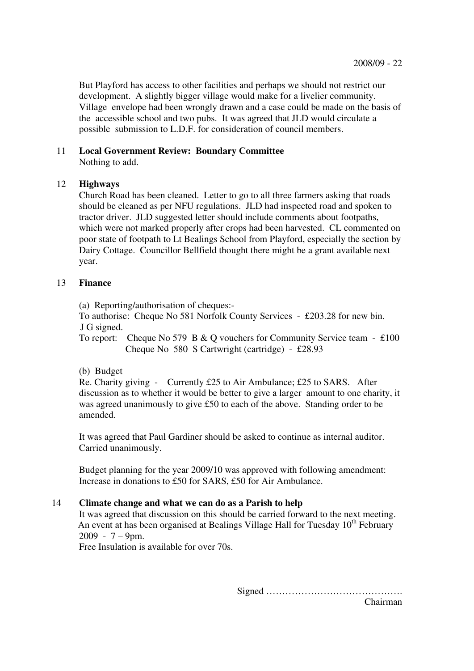But Playford has access to other facilities and perhaps we should not restrict our development. A slightly bigger village would make for a livelier community. Village envelope had been wrongly drawn and a case could be made on the basis of the accessible school and two pubs. It was agreed that JLD would circulate a possible submission to L.D.F. for consideration of council members.

# 11 **Local Government Review: Boundary Committee**

Nothing to add.

# 12 **Highways**

 Church Road has been cleaned. Letter to go to all three farmers asking that roads should be cleaned as per NFU regulations. JLD had inspected road and spoken to tractor driver. JLD suggested letter should include comments about footpaths, which were not marked properly after crops had been harvested. CL commented on poor state of footpath to Lt Bealings School from Playford, especially the section by Dairy Cottage. Councillor Bellfield thought there might be a grant available next year.

# 13 **Finance**

(a) Reporting/authorisation of cheques:-

 To authorise: Cheque No 581 Norfolk County Services - £203.28 for new bin. J G signed.

To report: Cheque No 579 B & Q vouchers for Community Service team -  $\text{\pounds}100$ Cheque No 580 S Cartwright (cartridge) - £28.93

# (b) Budget

Re. Charity giving - Currently £25 to Air Ambulance; £25 to SARS. After discussion as to whether it would be better to give a larger amount to one charity, it was agreed unanimously to give £50 to each of the above. Standing order to be amended.

It was agreed that Paul Gardiner should be asked to continue as internal auditor. Carried unanimously.

Budget planning for the year 2009/10 was approved with following amendment: Increase in donations to £50 for SARS, £50 for Air Ambulance.

### 14 **Climate change and what we can do as a Parish to help**

 It was agreed that discussion on this should be carried forward to the next meeting. An event at has been organised at Bealings Village Hall for Tuesday  $10<sup>th</sup>$  February  $2009 - 7 - 9$ pm.

Free Insulation is available for over 70s.

Signed …………………………………….